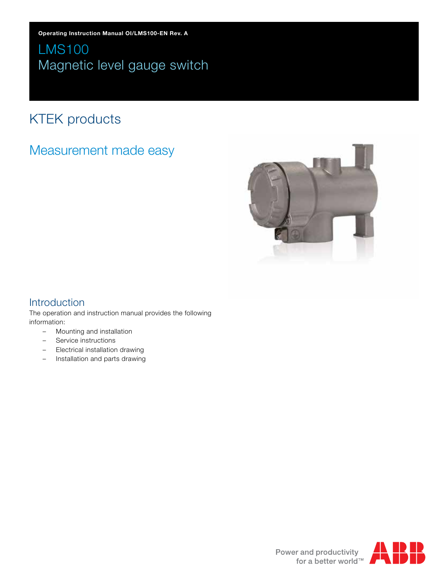# LMS100 Magnetic level gauge switch

# KTEK products

# Measurement made easy



## Introduction

The operation and instruction manual provides the following information:

- Mounting and installation
- Service instructions
- Electrical installation drawing
- Installation and parts drawing

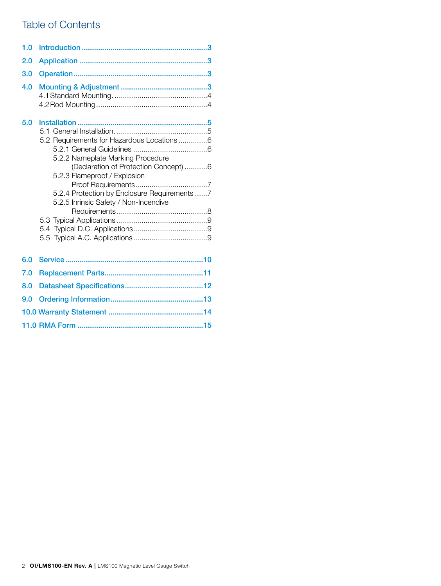## Table of Contents

| 1.0 |                                                                                                                                                                                                                                                   |
|-----|---------------------------------------------------------------------------------------------------------------------------------------------------------------------------------------------------------------------------------------------------|
| 2.0 |                                                                                                                                                                                                                                                   |
| 3.0 |                                                                                                                                                                                                                                                   |
| 4.0 |                                                                                                                                                                                                                                                   |
| 5.0 | 5.2 Requirements for Hazardous Locations 6<br>5.2.2 Nameplate Marking Procedure<br>(Declaration of Protection Concept) 6<br>5.2.3 Flameproof / Explosion<br>5.2.4 Protection by Enclosure Requirements 7<br>5.2.5 Inrinsic Safety / Non-Incendive |
| 6.0 |                                                                                                                                                                                                                                                   |
| 7.0 |                                                                                                                                                                                                                                                   |
| 8.0 |                                                                                                                                                                                                                                                   |
| 9.0 |                                                                                                                                                                                                                                                   |
|     |                                                                                                                                                                                                                                                   |
|     |                                                                                                                                                                                                                                                   |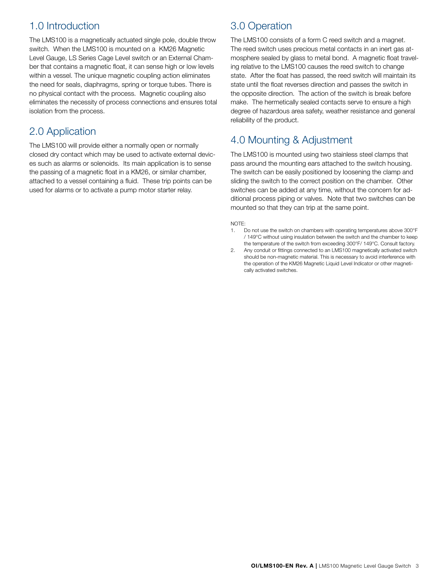# 1.0 Introduction

The LMS100 is a magnetically actuated single pole, double throw switch. When the LMS100 is mounted on a KM26 Magnetic Level Gauge, LS Series Cage Level switch or an External Chamber that contains a magnetic float, it can sense high or low levels within a vessel. The unique magnetic coupling action eliminates the need for seals, diaphragms, spring or torque tubes. There is no physical contact with the process. Magnetic coupling also eliminates the necessity of process connections and ensures total isolation from the process.

# 2.0 Application

The LMS100 will provide either a normally open or normally closed dry contact which may be used to activate external devices such as alarms or solenoids. Its main application is to sense the passing of a magnetic float in a KM26, or similar chamber, attached to a vessel containing a fluid. These trip points can be used for alarms or to activate a pump motor starter relay.

# 3.0 Operation

The LMS100 consists of a form C reed switch and a magnet. The reed switch uses precious metal contacts in an inert gas atmosphere sealed by glass to metal bond. A magnetic float traveling relative to the LMS100 causes the reed switch to change state. After the float has passed, the reed switch will maintain its state until the float reverses direction and passes the switch in the opposite direction. The action of the switch is break before make. The hermetically sealed contacts serve to ensure a high degree of hazardous area safety, weather resistance and general reliability of the product.

# 4.0 Mounting & Adjustment

The LMS100 is mounted using two stainless steel clamps that pass around the mounting ears attached to the switch housing. The switch can be easily positioned by loosening the clamp and sliding the switch to the correct position on the chamber. Other switches can be added at any time, without the concern for additional process piping or valves. Note that two switches can be mounted so that they can trip at the same point.

### **NOTE**

- 1. Do not use the switch on chambers with operating temperatures above 300°F / 149°C without using insulation between the switch and the chamber to keep the temperature of the switch from exceeding 300°F/ 149°C. Consult factory.
- 2. Any conduit or fittings connected to an LMS100 magnetically activated switch should be non-magnetic material. This is necessary to avoid interference with the operation of the KM26 Magnetic Liquid Level Indicator or other magnetically activated switches.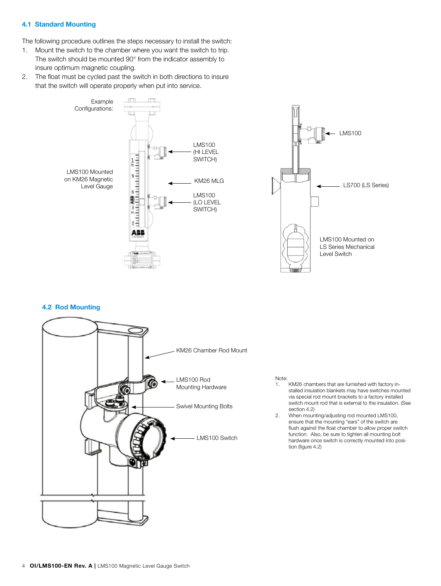### **4.1 Standard Mounting**

The following procedure outlines the steps necessary to install the switch:

- 1. Mount the switch to the chamber where you want the switch to trip. The switch should be mounted 90° from the indicator assembly to insure optimum magnetic coupling.
- 2. The float must be cycled past the switch in both directions to insure that the switch will operate properly when put into service.





### **4.2 Rod Mounting**



#### Note:

- 1. KM26 chambers that are furnished with factory installed insulation blankets may have switches mounted via special rod mount brackets to a factory installed switch mount rod that is external to the insulation. (See section 4.2)
- 2. When mounting/adjusting rod mounted LMS100, ensure that the mounting "ears" of the switch are flush against the float chamber to allow proper switch function. Also, be sure to tighten all mounting bolt hardware once switch is correctly mounted into position (figure 4.2)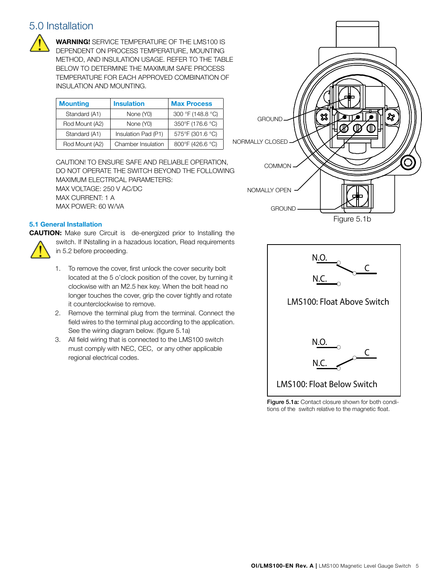## 5.0 Installation



**WARNING!** SERVICE TEMPERATURE OF THE LMS100 IS DEPENDENT ON PROCESS TEMPERATURE, MOUNTING METHOD, AND INSULATION USAGE. REFER TO THE TABLE BELOW TO DETERMINE THE MAXIMUM SAFE PROCESS TEMPERATURE FOR EACH APPROVED COMBINATION OF INSULATION AND MOUNTING.

| <b>Mounting</b> | <b>Insulation</b>   | <b>Max Process</b> |
|-----------------|---------------------|--------------------|
| Standard (A1)   | None (Y0)           | 300 °F (148.8 °C)  |
| Rod Mount (A2)  | None (Y0)           | 350°F (176.6 °C)   |
| Standard (A1)   | Insulation Pad (P1) | 575°F (301.6 °C)   |
| Rod Mount (A2)  | Chamber Insulation  | 800°F (426.6 °C)   |

CAUTION! TO ENSURE SAFE AND RELIABLE OPERATION, DO NOT OPERATE THE SWITCH BEYOND THE FOLLOWING MAXIMUM ELECTRICAL PARAMETERS: MAX VOLTAGE: 250 V AC/DC MAX CURRENT: 1 A MAX POWER: 60 W/VA

### **5.1 General Installation**

**CAUTION:** Make sure Circuit is de-energized prior to Installing the switch. If INstalling in a hazadous location, Read requirements in 5.2 before proceeding.

- 1. To remove the cover, first unlock the cover security bolt located at the 5 o'clock position of the cover, by turning it clockwise with an M2.5 hex key. When the bolt head no longer touches the cover, grip the cover tightly and rotate it counterclockwise to remove.
- 2. Remove the terminal plug from the terminal. Connect the field wires to the terminal plug according to the application. See the wiring diagram below. (figure 5.1a)
- 3. All field wiring that is connected to the LMS100 switch must comply with NEC, CEC, or any other applicable regional electrical codes.



Figure 5.1b



Figure 5.1a: Contact closure shown for both conditions of the switch relative to the magnetic float.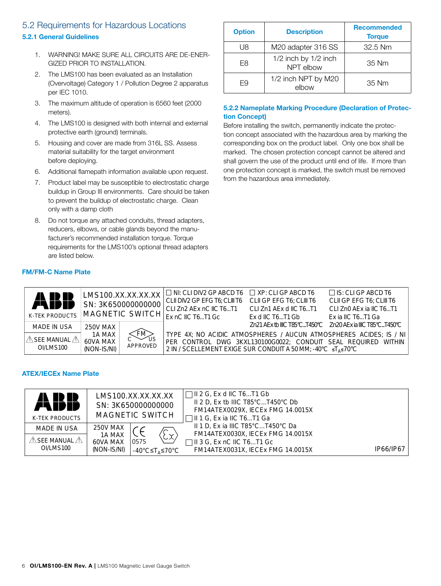### 5.2 Requirements for Hazardous Locations

### **5.2.1 General Guidelines**

- 1. WARNING! MAKE SURE ALL CIRCUITS ARE DE-ENER-GIZED PRIOR TO INSTALLATION.
- 2. The LMS100 has been evaluated as an Installation (Overvoltage) Category 1 / Pollution Degree 2 apparatus per IEC 1010.  $\frac{1}{2}$   $\frac{1}{2}$   $\frac{1}{2}$   $\frac{1}{2}$   $\frac{1}{2}$   $\frac{1}{2}$   $\frac{1}{2}$   $\frac{1}{2}$   $\frac{1}{2}$   $\frac{1}{2}$   $\frac{1}{2}$   $\frac{1}{2}$   $\frac{1}{2}$   $\frac{1}{2}$   $\frac{1}{2}$   $\frac{1}{2}$   $\frac{1}{2}$   $\frac{1}{2}$   $\frac{1}{2}$   $\frac{1}{2}$   $\frac{1}{2}$   $\frac{1}{2}$
- 3. The maximum altitude of operation is 6560 feet (2000 o. The maxime<br>meters).
	- 4. The LMS100 is designed with both internal and external protective earth (ground) terminals.
	- 5. Housing and cover are made from 316L SS. Assess L material suitability for the target environment before deploying.
	- 6. Additional flamepath information available upon request.
		- 7. Product label may be susceptible to electrostatic charge buildup in Group III environments. Care should be taken to prevent the buildup of electrostatic charge. Clean only with a damp cloth  $\overline{a}$  and  $\overline{a}$  and  $\overline{a}$  and  $\overline{a}$  and  $\overline{a}$  and  $\overline{a}$  and  $\overline{a}$  and  $\overline{a}$  and  $\overline{a}$  and  $\overline{a}$  and  $\overline{a}$  and  $\overline{a}$  and  $\overline{a}$  and  $\overline{a}$  and  $\overline{a}$  and  $\overline$
- 8. Do not torque any attached conduits, thread adapters, reducers, elbows, or cable glands beyond the manufacturer's recommended installation torque. Torque requirements for the LMS100's optional thread adapters are listed below.

| <b>Option</b> | <b>Description</b>                    | <b>Recommended</b><br><b>Torque</b> |
|---------------|---------------------------------------|-------------------------------------|
| U8            | M20 adapter 316 SS                    | 32.5 Nm                             |
| F8            | $1/2$ inch by $1/2$ inch<br>NPT elbow | 35 Nm                               |
| F9            | 1/2 inch NPT by M20<br>elbow          | 35 Nm                               |

#### **5.2.2 Nameplate Marking Procedure (Declaration of Protection Concept) ECOMPANDED ET FOLCO**

Before installing the switch, permanently indicate the protection concept associated with the hazardous area by marking the corresponding box on the product label. Only one box shall be marked. The chosen protection concept cannot be altered and shall govern the use of the product until end of life. If more than one protection concept is marked, the switch must be removed from the hazardous area immediately.

|                | LMS100.XX.XX.XX.XX<br>SN: 3K650000000000 |                                                                  | $\Box$ NI: CLI DIV2 GP ABCD T6 $\Box$ XP: CLI GP ABCD T6                                                                     |                          | $\Box$ IS: CLI GP ABCD T6                                          |
|----------------|------------------------------------------|------------------------------------------------------------------|------------------------------------------------------------------------------------------------------------------------------|--------------------------|--------------------------------------------------------------------|
| ABB            |                                          |                                                                  | CLII DIV2 GP EFG T6; CLIII T6                                                                                                | CLII GP EFG T6: CLIII T6 | CLII GP EFG T6; CLIII T6                                           |
|                |                                          |                                                                  | CLI Zn2 AEx nC IIC T6T1                                                                                                      | CLIZn1 AEx d IIC T6T1    | CLIZn0 AEx ia IIC T6T1                                             |
| K-TEK PRODUCTS |                                          | MAGNETIC SWITCH                                                  | Ex nC IIC T6T1 Gc                                                                                                            | $Ex$ d IIC T6T1 Gb       | Ex ia IIC T6T1 Ga                                                  |
| MADE IN USA    | <b>250V MAX</b>                          |                                                                  |                                                                                                                              |                          |                                                                    |
| OI/LMS100      | 1A MAX<br>60VA MAX<br>(NON-IS/NI)        | $\left\langle \text{FM} \right\rangle$ <sub>US</sub><br>APPROVED | PER CONTROL DWG 3KXL130100G0022; CONDUIT SEAL REQUIRED WITHIN<br>2 IN / SCELLEMENT EXIGE SUR CONDUIT A 50 MM; -40°C ≤TA≤70°C |                          | TYPE 4X; NO ACIDIC ATMOSPHERES / AUCUN ATMOSPHERES ACIDES; IS / NI |

### **ATEX/IECEx Name Plate**

**FM/FM-C Name Plate**

PRO

| <b>K-TEK PRODUCTS</b>              |                         | LMS100.XX.XX.XX.XX<br>SN: 3K650000000000<br>MAGNETIC SWITCH | $\Box$ II 2 G, Ex d IIC T6T1 Gb<br>II 2 D, Ex tb IIIC $T85^{\circ}$ CT450 $^{\circ}$ C Db<br>FM14ATEX0029X, IECEx FMG 14.0015X |           |
|------------------------------------|-------------------------|-------------------------------------------------------------|--------------------------------------------------------------------------------------------------------------------------------|-----------|
| <b>MADE IN USA</b>                 | <b>250V MAX</b>         |                                                             | II 1 D, Ex ia IIIC T85°CT450°C Da                                                                                              |           |
| $\mathbb A$ See Manual $\mathbb A$ | 1A MAX                  | ČΧ                                                          | FM14ATEX0030X, IECEx FMG 14.0015X                                                                                              |           |
| OI/LMS100                          | 60VA MAX<br>(NON-IS/NI) | 0575<br>-40°C≤T <sub>∆</sub> ≤70°C                          | $\lnot$ II 3 G, Ex nC IIC T6T1 Gc<br>FM14ATEX0031X, IECEx FMG 14.0015X                                                         | IP66/IP67 |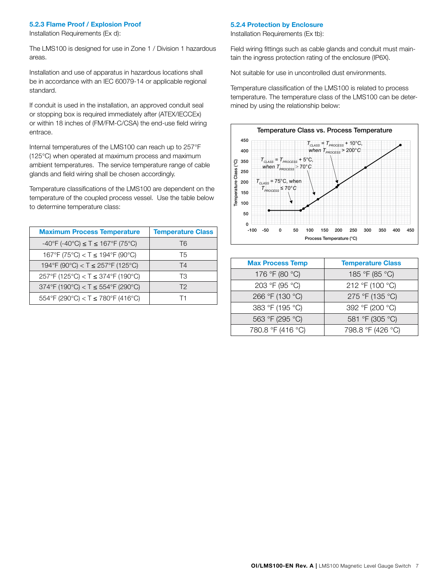#### **5.2.3 Flame Proof / Explosion Proof**

Installation Requirements (Ex d):

The LMS100 is designed for use in Zone 1 / Division 1 hazardous areas.

Installation and use of apparatus in hazardous locations shall be in accordance with an IEC 60079-14 or applicable regional standard.

If conduit is used in the installation, an approved conduit seal or stopping box is required immediately after (ATEX/IECCEx) or within 18 inches of (FM/FM-C/CSA) the end-use field wiring entrace.

Internal temperatures of the LMS100 can reach up to 257°F (125°C) when operated at maximum process and maximum ambient temperatures. The service temperature range of cable glands and field wiring shall be chosen accordingly.

Temperature classifications of the LMS100 are dependent on the temperature of the coupled process vessel. Use the table below to determine temperature class:

| <b>Maximum Process Temperature</b>                               | <b>Temperature Class</b> |
|------------------------------------------------------------------|--------------------------|
| $-40^{\circ}$ F (-40°C) $\leq$ T $\leq$ 167°F (75°C)             | T6                       |
| 167°F (75°C) < T $\leq$ 194°F (90°C)                             | T5                       |
| 194°F (90°C) < T $\leq$ 257°F (125°C)                            | T4                       |
| $257^{\circ}F(125^{\circ}C) < T \leq 374^{\circ}F(190^{\circ}C)$ | TЗ                       |
| 374°F (190°C) < T $\leq$ 554°F (290°C)                           | T <sub>2</sub>           |
| 554°F (290°C) < T $\leq$ 780°F (416°C)                           |                          |

### **5.2.4 Protection by Enclosure**

Installation Requirements (Ex tb):

Field wiring fittings such as cable glands and conduit must maintain the ingress protection rating of the enclosure (IP6X).

Not suitable for use in uncontrolled dust environments.

Temperature classification of the LMS100 is related to process temperature. The temperature class of the LMS100 can be determined by using the relationship below:



| <b>Max Process Temp</b> | <b>Temperature Class</b> |
|-------------------------|--------------------------|
| 176 °F (80 °C)          | 185 °F (85 °C)           |
| 203 °F (95 °C)          | 212 °F (100 °C)          |
| 266 °F (130 °C)         | 275 °F (135 °C)          |
| 383 °F (195 °C)         | 392 °F (200 °C)          |
| 563 °F (295 °C)         | 581 °F (305 °C)          |
| 780.8 °F (416 °C)       | 798.8 °F (426 °C)        |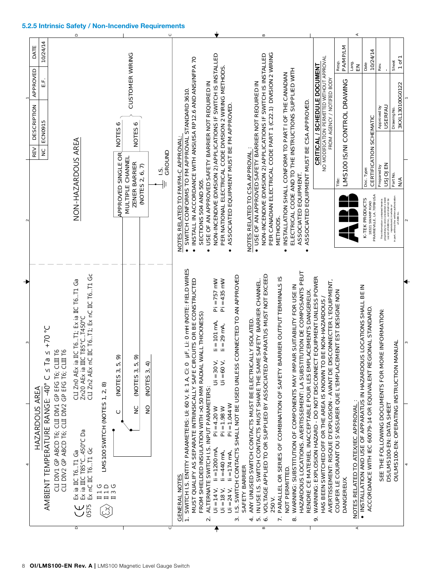

#### **5.2.5 Intrinsic Safety / Non-Incendive Requirements**

8 **OI/LMS100-EN Rev. A | LMS100 Magnetic Level Gauge Switch**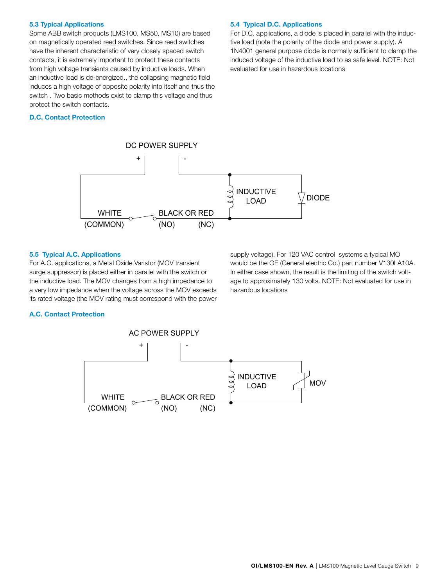### **5.3 Typical Applications**

Some ABB switch products (LMS100, MS50, MS10) are based on magnetically operated reed switches. Since reed switches have the inherent characteristic of very closely spaced switch contacts, it is extremely important to protect these contacts from high voltage transients caused by inductive loads. When an inductive load is de-energized., the collapsing magnetic field induces a high voltage of opposite polarity into itself and thus the switch . Two basic methods exist to clamp this voltage and thus protect the switch contacts.

### **D.C. Contact Protection**

### **5.4 Typical D.C. Applications**

For D.C. applications, a diode is placed in parallel with the inductive load (note the polarity of the diode and power supply). A 1N4001 general purpose diode is normally sufficient to clamp the induced voltage of the inductive load to as safe level. NOTE: Not evaluated for use in hazardous locations



### **5.5 Typical A.C. Applications**

For A.C. applications, a Metal Oxide Varistor (MOV transient surge suppressor) is placed either in parallel with the switch or the inductive load. The MOV changes from a high impedance to a very low impedance when the voltage across the MOV exceeds its rated voltage (the MOV rating must correspond with the power

supply voltage). For 120 VAC control systems a typical MO would be the GE (General electric Co.) part number V130LA10A. In either case shown, the result is the limiting of the switch voltage to approximately 130 volts. NOTE: Not evaluated for use in hazardous locations

### **A.C. Contact Protection**

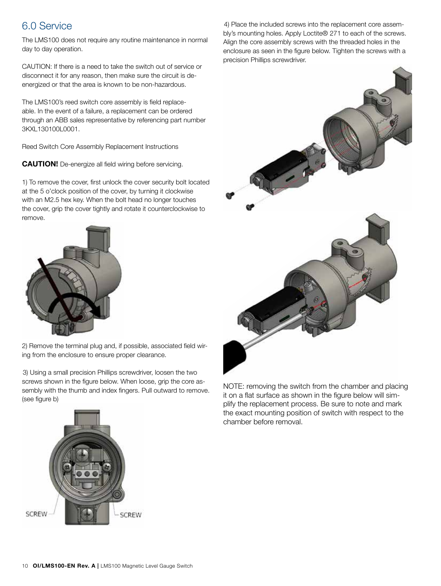## 6.0 Service

The LMS100 does not require any routine maintenance in normal day to day operation.

CAUTION: If there is a need to take the switch out of service or disconnect it for any reason, then make sure the circuit is deenergized or that the area is known to be non-hazardous.

The LMS100's reed switch core assembly is field replaceable. In the event of a failure, a replacement can be ordered through an ABB sales representative by referencing part number 3KXL130100L0001.

Reed Switch Core Assembly Replacement Instructions

**CAUTION!** De-energize all field wiring before servicing.

1) To remove the cover, first unlock the cover security bolt located at the 5 o'clock position of the cover, by turning it clockwise with an M2.5 hex key. When the bolt head no longer touches the cover, grip the cover tightly and rotate it counterclockwise to remove.



2) Remove the terminal plug and, if possible, associated field wiring from the enclosure to ensure proper clearance.

3) Using a small precision Phillips screwdriver, loosen the two screws shown in the figure below. When loose, grip the core assembly with the thumb and index fingers. Pull outward to remove. (see figure b)



4) Place the included screws into the replacement core assembly's mounting holes. Apply Loctite® 271 to each of the screws. Align the core assembly screws with the threaded holes in the enclosure as seen in the figure below. Tighten the screws with a precision Phillips screwdriver.



NOTE: removing the switch from the chamber and placing it on a flat surface as shown in the figure below will simplify the replacement process. Be sure to note and mark the exact mounting position of switch with respect to the chamber before removal.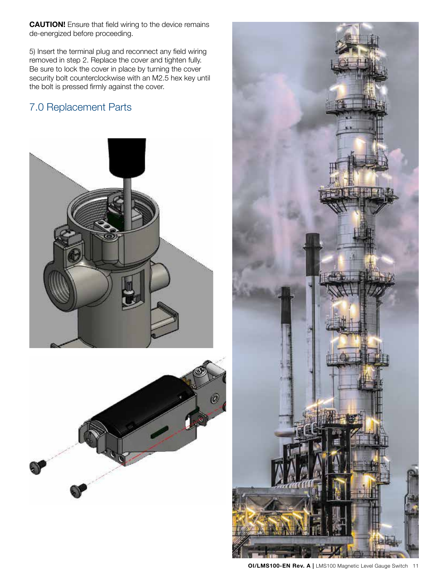**CAUTION!** Ensure that field wiring to the device remains de-energized before proceeding.

5) Insert the terminal plug and reconnect any field wiring removed in step 2. Replace the cover and tighten fully. Be sure to lock the cover in place by turning the cover security bolt counterclockwise with an M2.5 hex key until the bolt is pressed firmly against the cover.

# 7.0 Replacement Parts





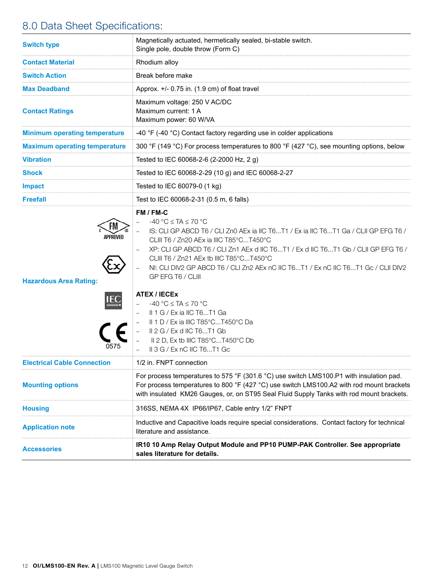# 8.0 Data Sheet Specifications:

| <b>Switch type</b>                        | Magnetically actuated, hermetically sealed, bi-stable switch.<br>Single pole, double throw (Form C)                                                                                                                                                                                                                                                                                                                                                                                                                                                                                                                                                    |
|-------------------------------------------|--------------------------------------------------------------------------------------------------------------------------------------------------------------------------------------------------------------------------------------------------------------------------------------------------------------------------------------------------------------------------------------------------------------------------------------------------------------------------------------------------------------------------------------------------------------------------------------------------------------------------------------------------------|
| <b>Contact Material</b>                   | Rhodium alloy                                                                                                                                                                                                                                                                                                                                                                                                                                                                                                                                                                                                                                          |
| <b>Switch Action</b>                      | Break before make                                                                                                                                                                                                                                                                                                                                                                                                                                                                                                                                                                                                                                      |
| <b>Max Deadband</b>                       | Approx. $+/-$ 0.75 in. (1.9 cm) of float travel                                                                                                                                                                                                                                                                                                                                                                                                                                                                                                                                                                                                        |
| <b>Contact Ratings</b>                    | Maximum voltage: 250 V AC/DC<br>Maximum current: 1 A<br>Maximum power: 60 W/VA                                                                                                                                                                                                                                                                                                                                                                                                                                                                                                                                                                         |
| <b>Minimum operating temperature</b>      | -40 $\degree$ F (-40 $\degree$ C) Contact factory regarding use in colder applications                                                                                                                                                                                                                                                                                                                                                                                                                                                                                                                                                                 |
| <b>Maximum operating temperature</b>      | 300 °F (149 °C) For process temperatures to 800 °F (427 °C), see mounting options, below                                                                                                                                                                                                                                                                                                                                                                                                                                                                                                                                                               |
| <b>Vibration</b>                          | Tested to IEC 60068-2-6 (2-2000 Hz, 2 g)                                                                                                                                                                                                                                                                                                                                                                                                                                                                                                                                                                                                               |
| Shock                                     | Tested to IEC 60068-2-29 (10 g) and IEC 60068-2-27                                                                                                                                                                                                                                                                                                                                                                                                                                                                                                                                                                                                     |
| <b>Impact</b>                             | Tested to IEC 60079-0 (1 kg)                                                                                                                                                                                                                                                                                                                                                                                                                                                                                                                                                                                                                           |
| <b>Freefall</b>                           | Test to IEC 60068-2-31 (0.5 m, 6 falls)                                                                                                                                                                                                                                                                                                                                                                                                                                                                                                                                                                                                                |
| approved<br><b>Hazardous Area Rating:</b> | FM / FM-C<br>$-40$ °C $\leq$ TA $\leq$ 70 °C<br>IS: CLI GP ABCD T6 / CLI Zn0 AEx ia IIC T6T1 / Ex ia IIC T6T1 Ga / CLII GP EFG T6 /<br>CLIII T6 / Zn20 AEx ia IIIC T85°CT450°C<br>XP: CLI GP ABCD T6 / CLI Zn1 AEx d IIC T6T1 / Ex d IIC T6T1 Gb / CLII GP EFG T6 /<br>CLIII T6 / Zn21 AEx tb IIIC T85°CT450°C<br>NI: CLI DIV2 GP ABCD T6 / CLI Zn2 AEx nC IIC T6T1 / Ex nC IIC T6T1 Gc / CLII DIV2<br>GP EFG T6 / CLIII<br><b>ATEX / IECEX</b><br>-40 °C $\leq$ TA $\leq$ 70 °C<br>II 1 G / Ex ia IIC T6T1 Ga<br>II 1 D / Ex ia IIIC T85°CT450°C Da<br>II 2 G / Ex d IIC T6T1 Gb<br>II 2 D, Ex tb IIIC T85°CT450°C Db<br>$II$ 3 G / Ex nC IIC T6T1 Gc |
| <b>Electrical Cable Connection</b>        | 1/2 in. FNPT connection                                                                                                                                                                                                                                                                                                                                                                                                                                                                                                                                                                                                                                |
| <b>Mounting options</b>                   | For process temperatures to 575 °F (301.6 °C) use switch LMS100.P1 with insulation pad.<br>For process temperatures to 800 °F (427 °C) use switch LMS100.A2 with rod mount brackets<br>with insulated KM26 Gauges, or, on ST95 Seal Fluid Supply Tanks with rod mount brackets.                                                                                                                                                                                                                                                                                                                                                                        |
| <b>Housing</b>                            | 316SS, NEMA 4X IP66/IP67, Cable entry 1/2" FNPT                                                                                                                                                                                                                                                                                                                                                                                                                                                                                                                                                                                                        |
| <b>Application note</b>                   | Inductive and Capacitive loads require special considerations. Contact factory for technical<br>literature and assistance.                                                                                                                                                                                                                                                                                                                                                                                                                                                                                                                             |
| <b>Accessories</b>                        | IR10 10 Amp Relay Output Module and PP10 PUMP-PAK Controller. See appropriate<br>sales literature for details.                                                                                                                                                                                                                                                                                                                                                                                                                                                                                                                                         |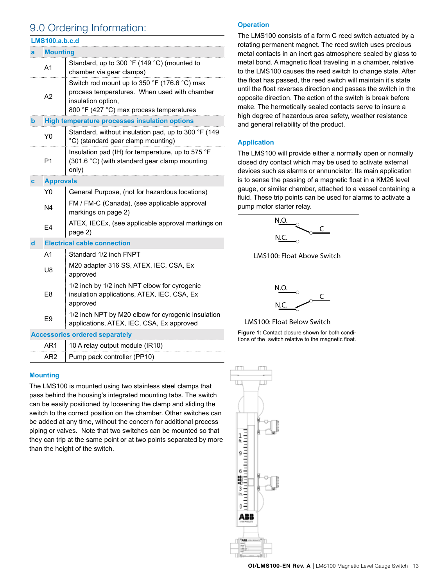# 9.0 Ordering Information:

| <b>LMS100.a.b.c.d</b> |                  |                                                                                                                                                                                  |  |  |
|-----------------------|------------------|----------------------------------------------------------------------------------------------------------------------------------------------------------------------------------|--|--|
|                       | <b>Mounting</b>  |                                                                                                                                                                                  |  |  |
|                       | A <sub>1</sub>   | Standard, up to 300 °F (149 °C) (mounted to<br>chamber via gear clamps)                                                                                                          |  |  |
|                       | A2               | Switch rod mount up to 350 $\degree$ F (176.6 $\degree$ C) max<br>process temperatures. When used with chamber<br>insulation option,<br>800 °F (427 °C) max process temperatures |  |  |
| b                     |                  | High temperature processes insulation options                                                                                                                                    |  |  |
|                       | Y <sub>0</sub>   | Standard, without insulation pad, up to 300 °F (149<br>°C) (standard gear clamp mounting)                                                                                        |  |  |
|                       | P <sub>1</sub>   | Insulation pad (IH) for temperature, up to 575 °F<br>(301.6 °C) (with standard gear clamp mounting<br>only)                                                                      |  |  |
| C                     | <b>Approvals</b> |                                                                                                                                                                                  |  |  |
|                       | Y0               | General Purpose, (not for hazardous locations)                                                                                                                                   |  |  |
|                       | N <sub>4</sub>   | FM / FM-C (Canada), (see applicable approval<br>markings on page 2)                                                                                                              |  |  |
|                       | E <sub>4</sub>   | ATEX, IECEx, (see applicable approval markings on<br>page 2)                                                                                                                     |  |  |
| d                     |                  | <b>Electrical cable connection</b>                                                                                                                                               |  |  |
|                       | A <sub>1</sub>   | Standard 1/2 inch FNPT                                                                                                                                                           |  |  |
|                       | U8               | M20 adapter 316 SS, ATEX, IEC, CSA, Ex<br>approved                                                                                                                               |  |  |
|                       | F8               | 1/2 inch by 1/2 inch NPT elbow for cyrogenic<br>insulation applications, ATEX, IEC, CSA, Ex<br>approved                                                                          |  |  |
|                       | F <sub>9</sub>   | 1/2 inch NPT by M20 elbow for cyrogenic insulation<br>applications, ATEX, IEC, CSA, Ex approved                                                                                  |  |  |
|                       |                  | <b>Accessories ordered separately</b>                                                                                                                                            |  |  |

| ΔR1 | 10 A relay output module (IR10) |
|-----|---------------------------------|
| ΔΡΩ | Pump pack controller (PP10)     |

### **Mounting**

The LMS100 is mounted using two stainless steel clamps that pass behind the housing's integrated mounting tabs. The switch can be easily positioned by loosening the clamp and sliding the switch to the correct position on the chamber. Other switches can be added at any time, without the concern for additional process piping or valves. Note that two switches can be mounted so that they can trip at the same point or at two points separated by more than the height of the switch.

### **Operation**

The LMS100 consists of a form C reed switch actuated by a rotating permanent magnet. The reed switch uses precious metal contacts in an inert gas atmosphere sealed by glass to metal bond. A magnetic float traveling in a chamber, relative to the LMS100 causes the reed switch to change state. After the float has passed, the reed switch will maintain it's state until the float reverses direction and passes the switch in the opposite direction. The action of the switch is break before make. The hermetically sealed contacts serve to insure a high degree of hazardous area safety, weather resistance and general reliability of the product.

### **Application**

The LMS100 will provide either a normally open or normally closed dry contact which may be used to activate external devices such as alarms or annunciator. Its main application is to sense the passing of a magnetic float in a KM26 level gauge, or similar chamber, attached to a vessel containing a fluid. These trip points can be used for alarms to activate a pump motor starter relay.





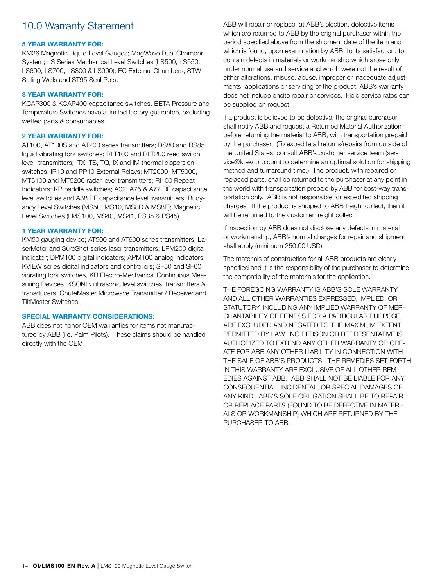## 10.0 Warranty Statement

### **5 YEAR WARRANTY FOR:**

KM26 Magnetic Liquid Level Gauges; MagWave Dual Chamber System; LS Series Mechanical Level Switches (LS500, LS550, LS600, LS700, LS800 & LS900); EC External Chambers, STW Stilling Wells and ST95 Seal Pots.

#### **3 YEAR WARRANTY FOR:**

KCAP300 & KCAP400 capacitance switches. BETA Pressure and Temperature Switches have a limited factory guarantee, excluding wetted parts & consumables.

#### **2 YEAR WARRANTY FOR:**

AT100, AT100S and AT200 series transmitters; RS80 and RS85 liquid vibrating fork switches; RLT100 and RLT200 reed switch level transmitters; TX, TS, TQ, IX and IM thermal dispersion switches; IR10 and PP10 External Relays; MT2000, MT5000, MT5100 and MT5200 radar level transmitters; RI100 Repeat Indicators; KP paddle switches; A02, A75 & A77 RF capacitance level switches and A38 RF capacitance level transmitters; Buoyancy Level Switches (MS50, MS10, MS8D & MS8F); Magnetic Level Switches (LMS100, MS40, MS41, PS35 & PS45).

#### **1 YEAR WARRANTY FOR:**

KM50 gauging device; AT500 and AT600 series transmitters; LaserMeter and SureShot series laser transmitters; LPM200 digital indicator; DPM100 digital indicators; APM100 analog indicators; KVIEW series digital indicators and controllers; SF50 and SF60 vibrating fork switches, KB Electro-Mechanical Continuous Measuring Devices, KSONIK ultrasonic level switches, transmitters & transducers, ChuteMaster Microwave Transmitter / Receiver and TiltMaster Switches.

### **SPECIAL WARRANTY CONSIDERATIONS:**

ABB does not honor OEM warranties for items not manufactured by ABB (i.e. Palm Pilots). These claims should be handled directly with the OEM.

ABB will repair or replace, at ABB's election, defective items which are returned to ABB by the original purchaser within the period specified above from the shipment date of the item and which is found, upon examination by ABB, to its satisfaction, to contain defects in materials or workmanship which arose only under normal use and service and which were not the result of either alterations, misuse, abuse, improper or inadequate adjustments, applications or servicing of the product. ABB's warranty does not include onsite repair or services. Field service rates can be supplied on request.

If a product is believed to be defective, the original purchaser shall notify ABB and request a Returned Material Authorization before returning the material to ABB, with transportation prepaid by the purchaser. (To expedite all returns/repairs from outside of the United States, consult ABB's customer service team (service@ktekcorp.com) to determine an optimal solution for shipping method and turnaround time.) The product, with repaired or replaced parts, shall be returned to the purchaser at any point in the world with transportation prepaid by ABB for best-way transportation only. ABB is not responsible for expedited shipping charges. If the product is shipped to ABB freight collect, then it will be returned to the customer freight collect.

If inspection by ABB does not disclose any defects in material or workmanship, ABB's normal charges for repair and shipment shall apply (minimum 250.00 USD).

The materials of construction for all ABB products are clearly specified and it is the responsibility of the purchaser to determine the compatibility of the materials for the application.

THE FOREGOING WARRANTY IS ABB'S SOLE WARRANTY AND ALL OTHER WARRANTIES EXPRESSED, IMPLIED, OR STATUTORY, INCLUDING ANY IMPLIED WARRANTY OF MER-CHANTABILITY OF FITNESS FOR A PARTICULAR PURPOSE, ARE EXCLUDED AND NEGATED TO THE MAXIMUM EXTENT PERMITTED BY LAW. NO PERSON OR REPRESENTATIVE IS AUTHORIZED TO EXTEND ANY OTHER WARRANTY OR CRE-ATE FOR ABB ANY OTHER LIABILITY IN CONNECTION WITH THE SALE OF ABB'S PRODUCTS. THE REMEDIES SET FORTH IN THIS WARRANTY ARE EXCLUSIVE OF ALL OTHER REM-EDIES AGAINST ABB. ABB SHALL NOT BE LIABLE FOR ANY CONSEQUENTIAL, INCIDENTAL, OR SPECIAL DAMAGES OF ANY KIND. ABB'S SOLE OBLIGATION SHALL BE TO REPAIR OR REPLACE PARTS (FOUND TO BE DEFECTIVE IN MATERI-ALS OR WORKMANSHIP) WHICH ARE RETURNED BY THE PURCHASER TO ABB.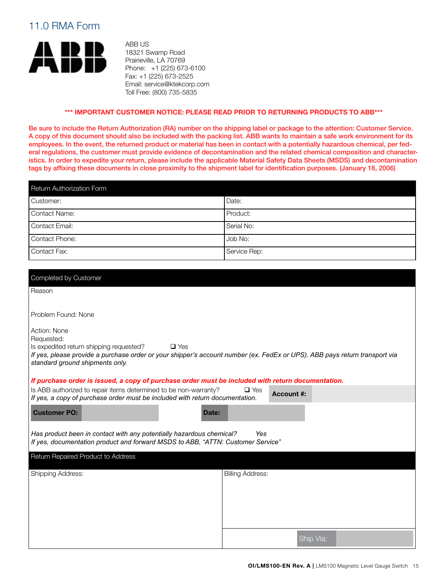## 11.0 RMA Form



ABB US 18321 Swamp Road Prairieville, LA 70769 Phone: +1 (225) 673-6100 Fax: +1 (225) 673-2525 Email: service@ktekcorp.com Toll Free: (800) 735-5835

### **\*\*\* IMPORTANT CUSTOMER NOTICE: PLEASE READ PRIOR TO RETURNING PRODUCTS TO ABB\*\*\***

Be sure to include the Return Authorization (RA) number on the shipping label or package to the attention: Customer Service. A copy of this document should also be included with the packing list. ABB wants to maintain a safe work environment for its employees. In the event, the returned product or material has been in contact with a potentially hazardous chemical, per federal regulations, the customer must provide evidence of decontamination and the related chemical composition and characteristics. In order to expedite your return, please include the applicable Material Safety Data Sheets (MSDS) and decontamination tags by affixing these documents in close proximity to the shipment label for identification purposes. (January 18, 2006)

| Return Authorization Form |              |  |  |
|---------------------------|--------------|--|--|
| Customer:                 | Date:        |  |  |
| Contact Name:             | Product:     |  |  |
| Contact Email:            | Serial No:   |  |  |
| Contact Phone:            | Job No:      |  |  |
| Contact Fax:              | Service Rep: |  |  |

| Completed by Customer                                                                                                                                                                                                                                |                                 |  |  |  |
|------------------------------------------------------------------------------------------------------------------------------------------------------------------------------------------------------------------------------------------------------|---------------------------------|--|--|--|
| Reason                                                                                                                                                                                                                                               |                                 |  |  |  |
| Problem Found: None                                                                                                                                                                                                                                  |                                 |  |  |  |
| Action: None<br>Requested:<br>Is expedited return shipping requested?<br>$\Box$ Yes<br>If yes, please provide a purchase order or your shipper's account number (ex. FedEx or UPS). ABB pays return transport via<br>standard ground shipments only. |                                 |  |  |  |
| If purchase order is issued, a copy of purchase order must be included with return documentation.                                                                                                                                                    |                                 |  |  |  |
| Is ABB authorized to repair items determined to be non-warranty?<br>If yes, a copy of purchase order must be included with return documentation.                                                                                                     | $\Box$ Yes<br><b>Account #:</b> |  |  |  |
| <b>Customer PO:</b><br>Date:                                                                                                                                                                                                                         |                                 |  |  |  |
| Has product been in contact with any potentially hazardous chemical?<br>Yes<br>If yes, documentation product and forward MSDS to ABB, "ATTN: Customer Service"                                                                                       |                                 |  |  |  |
| Return Repaired Product to Address                                                                                                                                                                                                                   |                                 |  |  |  |
| Shipping Address:                                                                                                                                                                                                                                    | <b>Billing Address:</b>         |  |  |  |
|                                                                                                                                                                                                                                                      |                                 |  |  |  |
|                                                                                                                                                                                                                                                      |                                 |  |  |  |
|                                                                                                                                                                                                                                                      |                                 |  |  |  |
|                                                                                                                                                                                                                                                      | Ship Via:                       |  |  |  |